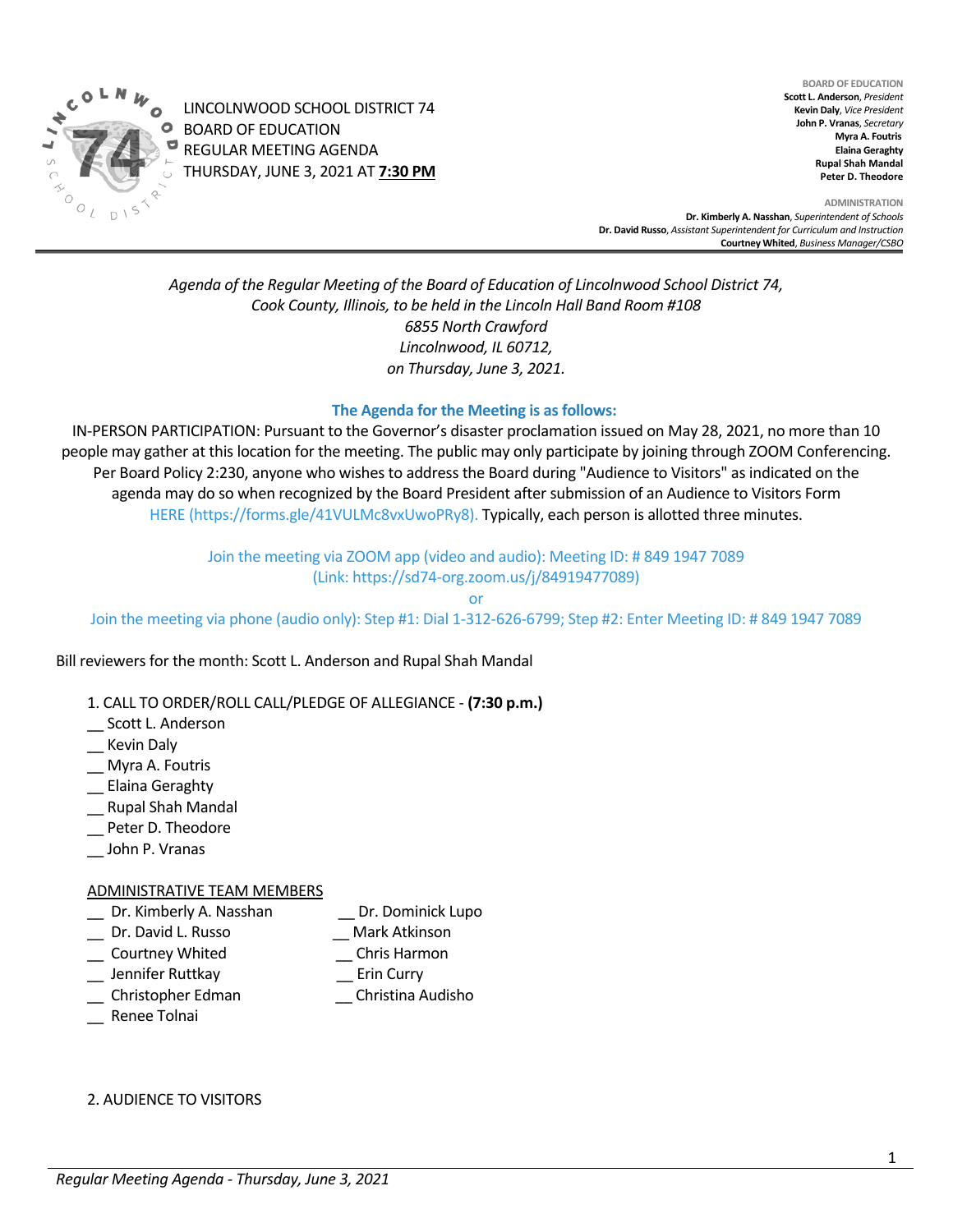

LINCOLNWOOD SCHOOL DISTRICT 74 BOARD OF EDUCATION REGULAR MEETING AGENDA THURSDAY, JUNE 3, 2021 AT **7:30 PM**

**BOARD OF EDUCATION Scott L. Anderson**, *President* **Kevin Daly**, *Vice President* **John P. Vranas**, *Secretary*  **Myra A. Foutris Elaina Geraghty Rupal Shah Mandal Peter D. Theodore**

**ADMINISTRATION Dr. Kimberly A. Nasshan**, *Superintendent of Schools* **Dr. David Russo**, *Assistant Superintendent for Curriculum and Instruction* **Courtney Whited**, *Business Manager/CSBO* 

*Agenda of the Regular Meeting of the Board of Education of Lincolnwood School District 74, Cook County, Illinois, to be held in the Lincoln Hall Band Room #108 6855 North Crawford Lincolnwood, IL 60712, on Thursday, June 3, 2021.*

### **The Agenda for the Meeting is as follows:**

IN-PERSON PARTICIPATION: Pursuant to the Governor's disaster proclamation issued on May 28, 2021, no more than 10 people may gather at this location for the meeting. The public may only participate by joining through ZOOM Conferencing. Per Board Policy 2:230, anyone who wishes to address the Board during "Audience to Visitors" as indicated on the agenda may do so when recognized by the Board President after submission of an Audience to Visitors Form [HERE](https://forms.gle/41VULMc8vxUwoPRy8) ([https://forms.gle/41VULMc8vxUwoPRy8\)](https://forms.gle/41VULMc8vxUwoPRy8). Typically, each person is allotted three minutes.

> Join the meeting via ZOOM app (video and audio): Meeting ID: # 849 1947 7089 (Link[: https://sd74-org.zoom.us/j/84919477089\)](https://sd74-org.zoom.us/j/84919477089)

> > or

Join the meeting via phone (audio only): Step #1: Dial 1-312-626-6799; Step #2: Enter Meeting ID: # 849 1947 7089

Bill reviewers for the month: Scott L. Anderson and Rupal Shah Mandal

- 1. CALL TO ORDER/ROLL CALL/PLEDGE OF ALLEGIANCE **(7:30 p.m.)**
- Scott L. Anderson
- \_\_ Kevin Daly
- \_\_ Myra A. Foutris
- \_\_ Elaina Geraghty
- \_\_ Rupal Shah Mandal
- Peter D. Theodore
- \_\_ John P. Vranas

#### ADMINISTRATIVE TEAM MEMBERS

- \_\_ Dr. Kimberly A. Nasshan \_\_ Dr. Dominick Lupo
	-
- Dr. David L. Russo **Canada Exercise Serverse Control** Mark Atkinson
- \_\_ Courtney Whited \_\_ Chris Harmon
- 
- \_\_ Jennifer Ruttkay \_\_ Erin Curry
- \_\_ Christopher Edman \_\_ Christina Audisho
- \_\_ Renee Tolnai

2. AUDIENCE TO VISITORS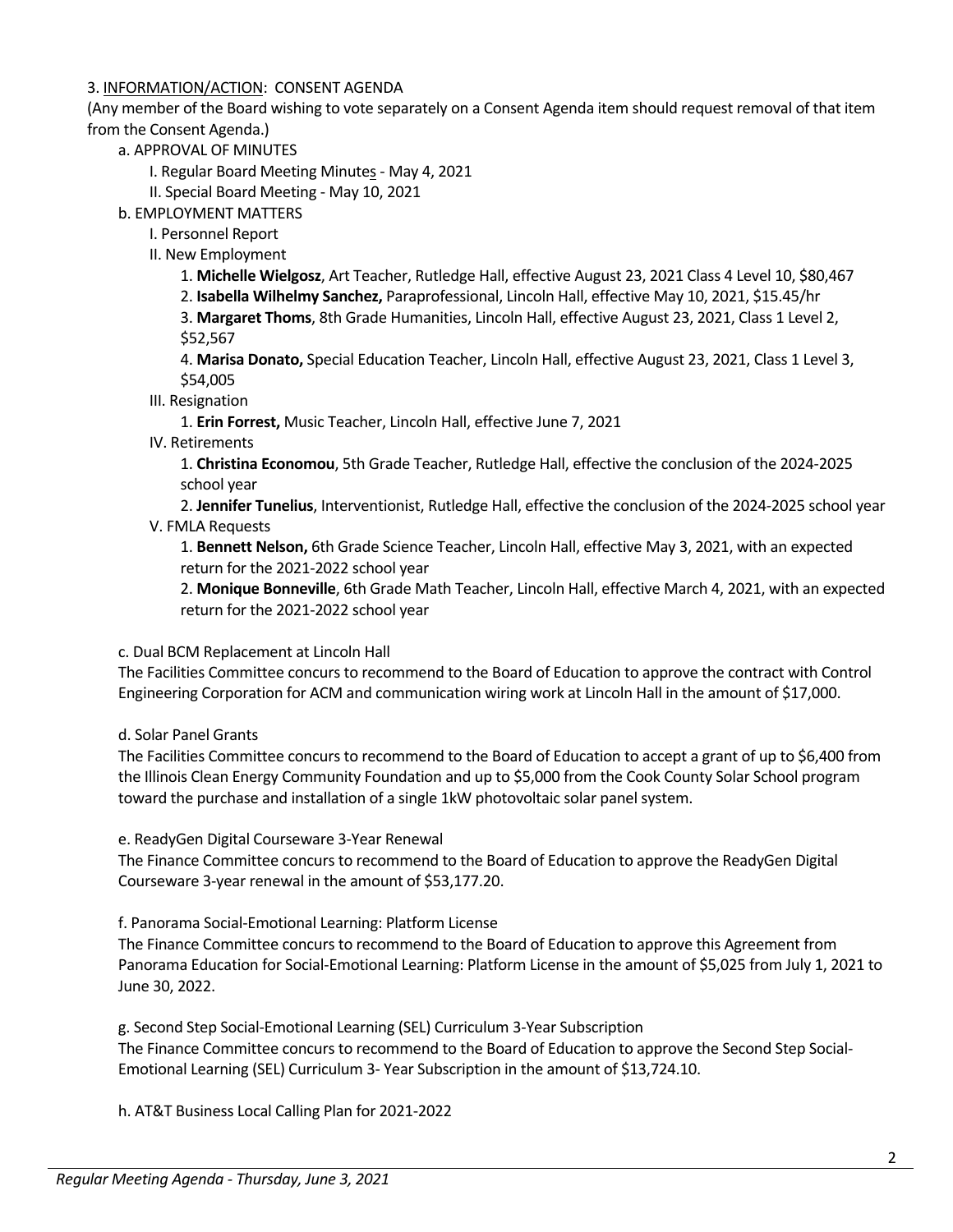# 3. INFORMATION/ACTION: CONSENT AGENDA

(Any member of the Board wishing to vote separately on a Consent Agenda item should request removal of that item from the Consent Agenda.)

a. APPROVAL OF MINUTES

I. Regular Board Meeting Minutes - May 4, 2021

- II. Special Board Meeting May 10, 2021
- b. EMPLOYMENT MATTERS
	- I. Personnel Report
	- II. New Employment

1. **Michelle Wielgosz**, Art Teacher, Rutledge Hall, effective August 23, 2021 Class 4 Level 10, \$80,467

2. **Isabella Wilhelmy Sanchez,** Paraprofessional, Lincoln Hall, effective May 10, 2021, \$15.45/hr

3. **Margaret Thoms**, 8th Grade Humanities, Lincoln Hall, effective August 23, 2021, Class 1 Level 2, \$52,567

4. **Marisa Donato,** Special Education Teacher, Lincoln Hall, effective August 23, 2021, Class 1 Level 3, \$54,005

III. Resignation

1. **Erin Forrest,** Music Teacher, Lincoln Hall, effective June 7, 2021

IV. Retirements

1. **Christina Economou**, 5th Grade Teacher, Rutledge Hall, effective the conclusion of the 2024-2025 school year

2. **Jennifer Tunelius**, Interventionist, Rutledge Hall, effective the conclusion of the 2024-2025 school year V. FMLA Requests

1. **Bennett Nelson,** 6th Grade Science Teacher, Lincoln Hall, effective May 3, 2021, with an expected return for the 2021-2022 school year

2. **Monique Bonneville**, 6th Grade Math Teacher, Lincoln Hall, effective March 4, 2021, with an expected return for the 2021-2022 school year

### c. Dual BCM Replacement at Lincoln Hall

The Facilities Committee concurs to recommend to the Board of Education to approve the contract with Control Engineering Corporation for ACM and communication wiring work at Lincoln Hall in the amount of \$17,000.

d. Solar Panel Grants

The Facilities Committee concurs to recommend to the Board of Education to accept a grant of up to \$6,400 from the Illinois Clean Energy Community Foundation and up to \$5,000 from the Cook County Solar School program toward the purchase and installation of a single 1kW photovoltaic solar panel system.

e. ReadyGen Digital Courseware 3-Year Renewal

The Finance Committee concurs to recommend to the Board of Education to approve the ReadyGen Digital Courseware 3-year renewal in the amount of \$53,177.20.

f. Panorama Social-Emotional Learning: Platform License

The Finance Committee concurs to recommend to the Board of Education to approve this Agreement from Panorama Education for Social-Emotional Learning: Platform License in the amount of \$5,025 from July 1, 2021 to June 30, 2022.

g. Second Step Social-Emotional Learning (SEL) Curriculum 3-Year Subscription The Finance Committee concurs to recommend to the Board of Education to approve the Second Step Social-Emotional Learning (SEL) Curriculum 3- Year Subscription in the amount of \$13,724.10.

h. AT&T Business Local Calling Plan for 2021-2022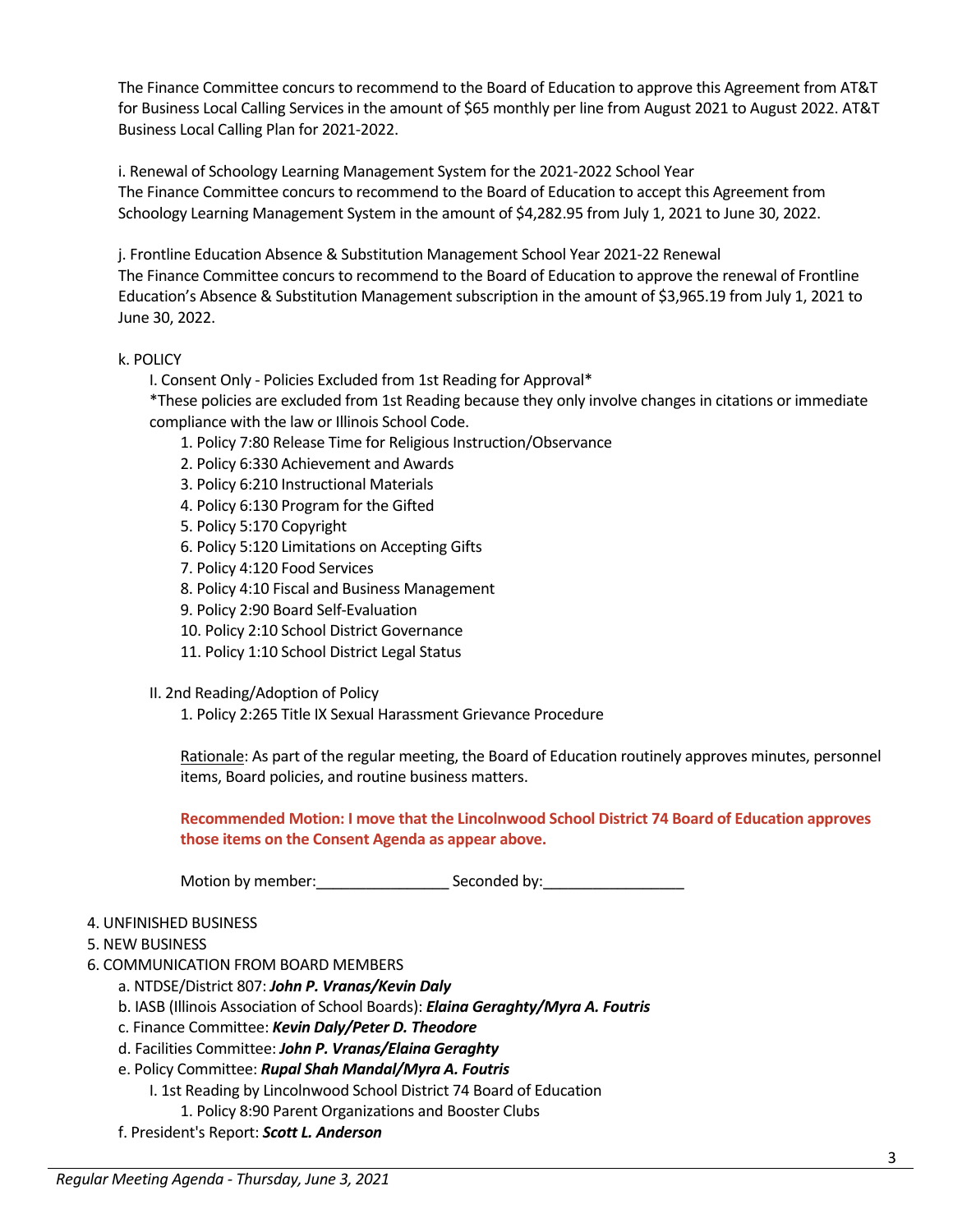The Finance Committee concurs to recommend to the Board of Education to approve this Agreement from AT&T for Business Local Calling Services in the amount of \$65 monthly per line from August 2021 to August 2022. AT&T Business Local Calling Plan for 2021-2022.

i. Renewal of Schoology Learning Management System for the 2021-2022 School Year The Finance Committee concurs to recommend to the Board of Education to accept this Agreement from Schoology Learning Management System in the amount of \$4,282.95 from July 1, 2021 to June 30, 2022.

j. Frontline Education Absence & Substitution Management School Year 2021-22 Renewal The Finance Committee concurs to recommend to the Board of Education to approve the renewal of Frontline Education's Absence & Substitution Management subscription in the amount of \$3,965.19 from July 1, 2021 to June 30, 2022.

# k. POLICY

I. Consent Only - Policies Excluded from 1st Reading for Approval\*

\*These policies are excluded from 1st Reading because they only involve changes in citations or immediate compliance with the law or Illinois School Code.

- 1. Policy 7:80 Release Time for Religious Instruction/Observance
- 2. Policy 6:330 Achievement and Awards
- 3. Policy 6:210 Instructional Materials
- 4. Policy 6:130 Program for the Gifted
- 5. Policy 5:170 Copyright
- 6. Policy 5:120 Limitations on Accepting Gifts
- 7. Policy 4:120 Food Services
- 8. Policy 4:10 Fiscal and Business Management
- 9. Policy 2:90 Board Self-Evaluation
- 10. Policy 2:10 School District Governance
- 11. Policy 1:10 School District Legal Status

II. 2nd Reading/Adoption of Policy

1. Policy 2:265 Title IX Sexual Harassment Grievance Procedure

Rationale: As part of the regular meeting, the Board of Education routinely approves minutes, personnel items, Board policies, and routine business matters.

**Recommended Motion: I move that the Lincolnwood School District 74 Board of Education approves those items on the Consent Agenda as appear above.**

Motion by member: Seconded by:

### 4. UNFINISHED BUSINESS

- 5. NEW BUSINESS
- 6. COMMUNICATION FROM BOARD MEMBERS
	- a. NTDSE/District 807: *John P. Vranas/Kevin Daly*
	- b. IASB (Illinois Association of School Boards): *Elaina Geraghty/Myra A. Foutris*
	- c. Finance Committee: *Kevin Daly/Peter D. Theodore*
	- d. Facilities Committee: *John P. Vranas/Elaina Geraghty*
	- e. Policy Committee: *Rupal Shah Mandal/Myra A. Foutris* 
		- I. 1st Reading by Lincolnwood School District 74 Board of Education
			- 1. Policy 8:90 Parent Organizations and Booster Clubs
	- f. President's Report: *Scott L. Anderson*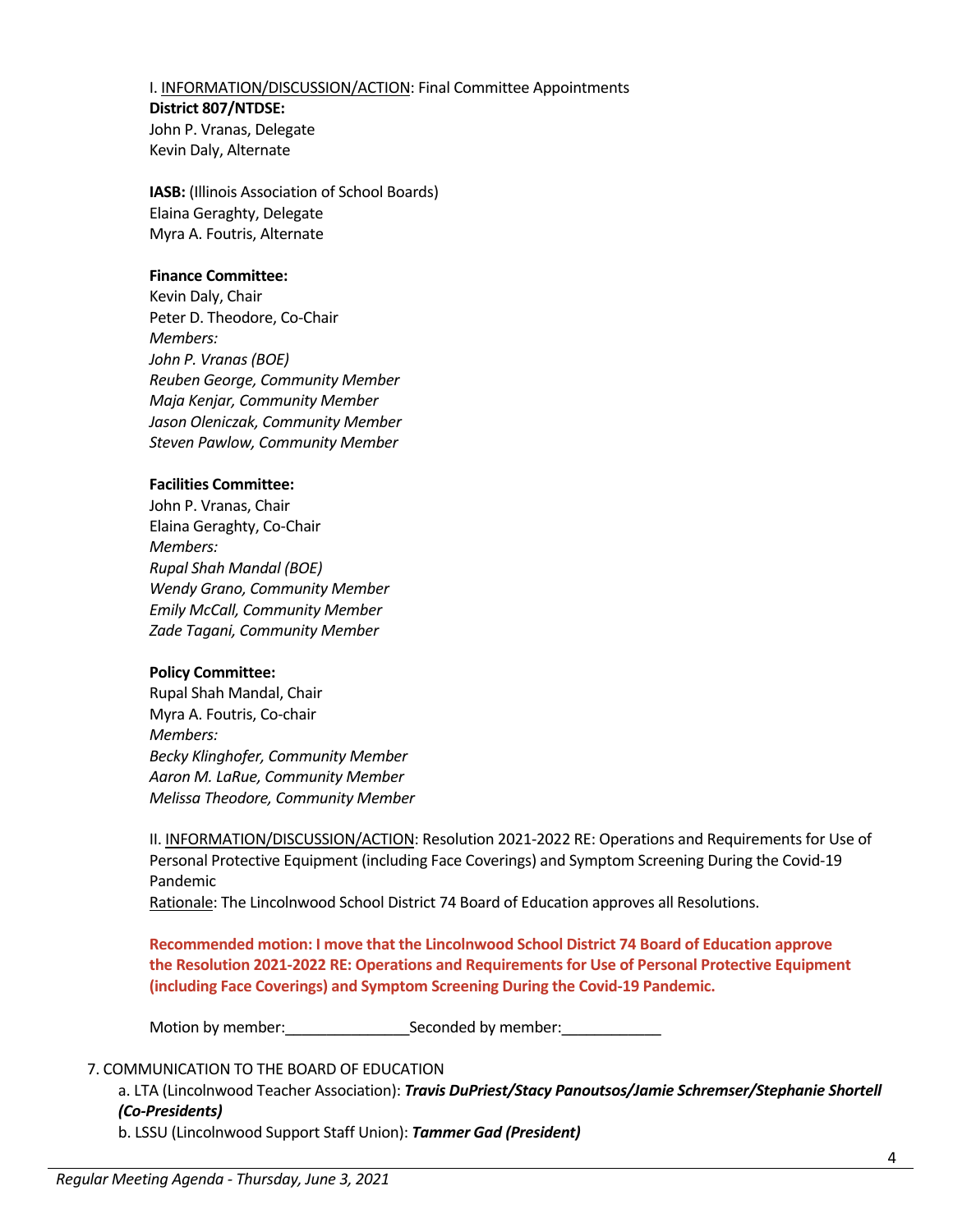I. INFORMATION/DISCUSSION/ACTION: Final Committee Appointments **District 807/NTDSE:**  John P. Vranas, Delegate Kevin Daly, Alternate

**IASB:** (Illinois Association of School Boards) Elaina Geraghty, Delegate Myra A. Foutris, Alternate

#### **Finance Committee:**

Kevin Daly, Chair Peter D. Theodore, Co-Chair *Members: John P. Vranas (BOE) Reuben George, Community Member Maja Kenjar, Community Member Jason Oleniczak, Community Member Steven Pawlow, Community Member*

#### **Facilities Committee:**

John P. Vranas, Chair Elaina Geraghty, Co-Chair *Members: Rupal Shah Mandal (BOE) Wendy Grano, Community Member Emily McCall, Community Member Zade Tagani, Community Member*

### **Policy Committee:**

Rupal Shah Mandal, Chair Myra A. Foutris, Co-chair *Members: Becky Klinghofer, Community Member Aaron M. LaRue, Community Member Melissa Theodore, Community Member*

II. INFORMATION/DISCUSSION/ACTION: Resolution 2021-2022 RE: Operations and Requirements for Use of Personal Protective Equipment (including Face Coverings) and Symptom Screening During the Covid-19 Pandemic

Rationale: The Lincolnwood School District 74 Board of Education approves all Resolutions.

**Recommended motion: I move that the Lincolnwood School District 74 Board of Education approve the Resolution 2021-2022 RE: Operations and Requirements for Use of Personal Protective Equipment (including Face Coverings) and Symptom Screening During the Covid-19 Pandemic.**

Motion by member:\_\_\_\_\_\_\_\_\_\_\_\_\_\_\_Seconded by member:\_\_\_\_\_\_\_\_\_\_\_\_

# 7. COMMUNICATION TO THE BOARD OF EDUCATION

a. LTA (Lincolnwood Teacher Association): *Travis DuPriest/Stacy Panoutsos/Jamie Schremser/Stephanie Shortell (Co-Presidents)*

b. LSSU (Lincolnwood Support Staff Union): *Tammer Gad (President)*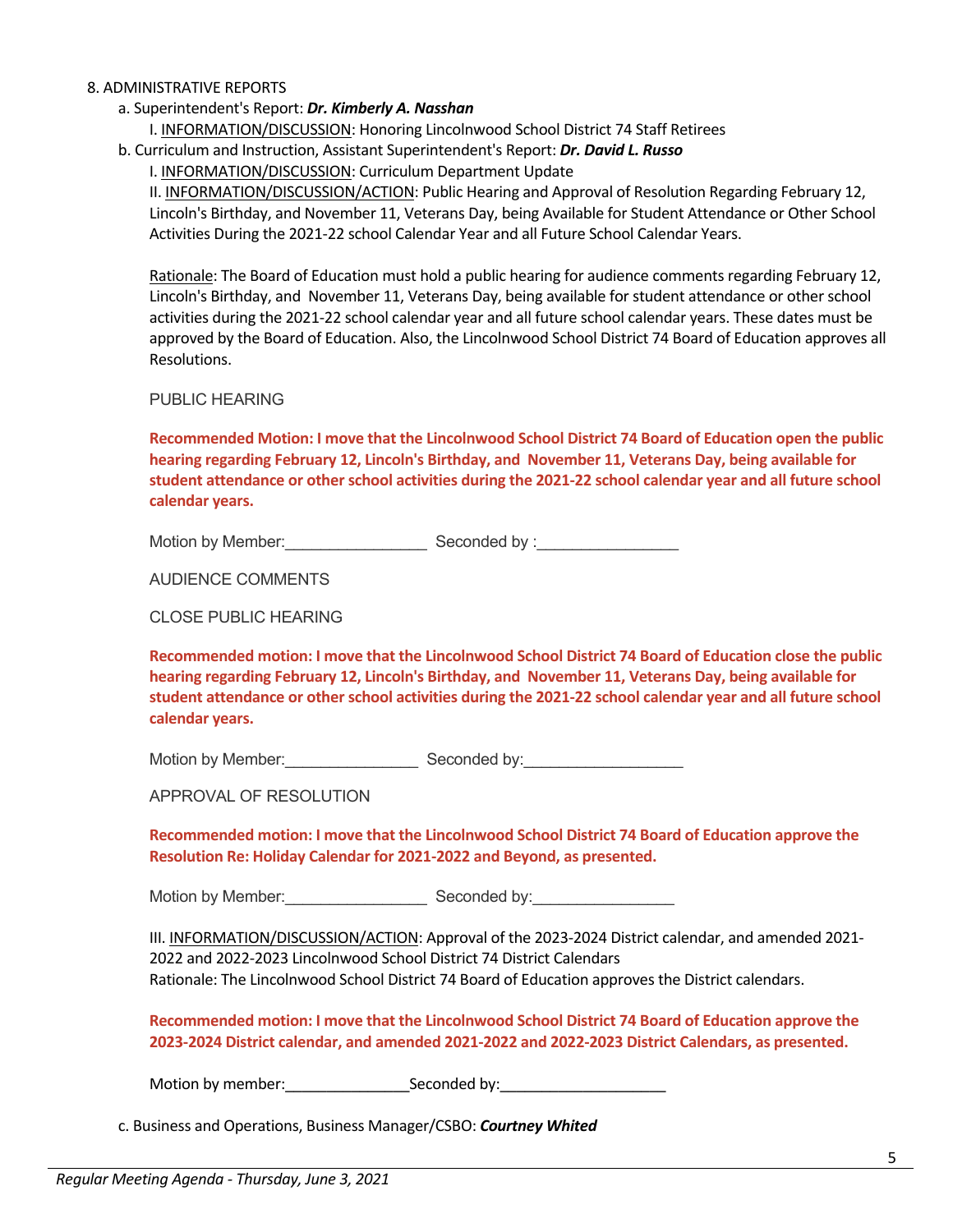#### 8. ADMINISTRATIVE REPORTS

- a. Superintendent's Report: *Dr. Kimberly A. Nasshan*
	- I. INFORMATION/DISCUSSION: Honoring Lincolnwood School District 74 Staff Retirees
- b. Curriculum and Instruction, Assistant Superintendent's Report: *Dr. David L. Russo*

I. INFORMATION/DISCUSSION: Curriculum Department Update

II. INFORMATION/DISCUSSION/ACTION: Public Hearing and Approval of Resolution Regarding February 12, Lincoln's Birthday, and November 11, Veterans Day, being Available for Student Attendance or Other School Activities During the 2021-22 school Calendar Year and all Future School Calendar Years.

Rationale: The Board of Education must hold a public hearing for audience comments regarding February 12, Lincoln's Birthday, and November 11, Veterans Day, being available for student attendance or other school activities during the 2021-22 school calendar year and all future school calendar years. These dates must be approved by the Board of Education. Also, the Lincolnwood School District 74 Board of Education approves all Resolutions.

PUBLIC HEARING

**Recommended Motion: I move that the Lincolnwood School District 74 Board of Education open the public hearing regarding February 12, Lincoln's Birthday, and November 11, Veterans Day, being available for student attendance or other school activities during the 2021-22 school calendar year and all future school calendar years.** 

Motion by Member: example of Seconded by :

AUDIENCE COMMENTS

CLOSE PUBLIC HEARING

**Recommended motion: I move that the Lincolnwood School District 74 Board of Education close the public hearing regarding February 12, Lincoln's Birthday, and November 11, Veterans Day, being available for student attendance or other school activities during the 2021-22 school calendar year and all future school calendar years.** 

Motion by Member: \_\_\_\_\_\_\_\_\_\_\_\_\_\_\_\_\_\_\_\_ Seconded by: \_\_\_\_\_\_\_\_\_\_\_\_\_\_\_\_\_\_\_\_\_\_\_\_\_\_\_\_

APPROVAL OF RESOLUTION

**Recommended motion: I move that the Lincolnwood School District 74 Board of Education approve the Resolution Re: Holiday Calendar for 2021-2022 and Beyond, as presented.**

Motion by Member: example of Seconded by:

III. INFORMATION/DISCUSSION/ACTION: Approval of the 2023-2024 District calendar, and amended 2021- 2022 and 2022-2023 Lincolnwood School District 74 District Calendars Rationale: The Lincolnwood School District 74 Board of Education approves the District calendars.

**Recommended motion: I move that the Lincolnwood School District 74 Board of Education approve the 2023-2024 District calendar, and amended 2021-2022 and 2022-2023 District Calendars, as presented.**

Motion by member:\_\_\_\_\_\_\_\_\_\_\_\_\_\_\_Seconded by:\_\_\_\_\_\_\_\_\_\_\_\_\_\_\_\_\_\_\_\_

c. Business and Operations, Business Manager/CSBO: *Courtney Whited*